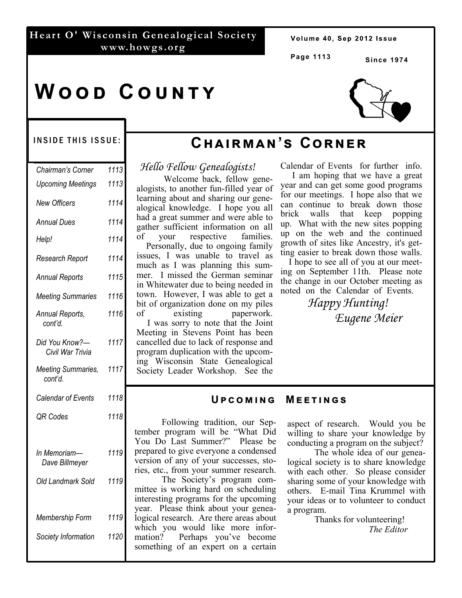#### **Heart O' Wisconsin Genealogical Society www.howgs.org**

Volume 40, Sep 2012 Issue

**Page 1113** 

**Since 1974** 

# WOOD COUNTY



#### INSIDE THIS ISSUE:

| Chairman's Corner                  | 1113 |
|------------------------------------|------|
| <b>Upcoming Meetings</b>           | 1113 |
| <b>New Officers</b>                | 1114 |
| <b>Annual Dues</b>                 | 1114 |
| Help!                              | 1114 |
| Research Report                    | 1114 |
| <b>Annual Reports</b>              | 1115 |
| <b>Meeting Summaries</b>           | 1116 |
| Annual Reports,<br>cont'd.         | 1116 |
| Did You Know?-<br>Civil War Trivia | 1117 |
| Meeting Summaries,<br>cont'd.      | 1117 |
| Calendar of Events                 | 1118 |
| <b>QR Codes</b>                    | 1118 |
| In Memoriam-<br>Dave Billmeyer     | 1119 |
| Old Landmark Sold                  | 1119 |
| Membership Form                    | 1119 |
| Society Information                | 1120 |
|                                    |      |

# **Cඐඉඑකඕඉඖ'ඛ Cකඖඍක**

*Hello Fellow Genealogists!* 

 Welcome back, fellow genealogists, to another fun-filled year of learning about and sharing our genealogical knowledge. I hope you all had a great summer and were able to gather sufficient information on all of your respective families. Personally, due to ongoing family issues, I was unable to travel as much as I was planning this summer. I missed the German seminar in Whitewater due to being needed in town. However, I was able to get a bit of organization done on my piles of existing paperwork. I was sorry to note that the Joint Meeting in Stevens Point has been cancelled due to lack of response and program duplication with the upcoming Wisconsin State Genealogical Society Leader Workshop. See the

Calendar of Events for further info.

 I am hoping that we have a great year and can get some good programs for our meetings. I hope also that we can continue to break down those brick walls that keep popping up. What with the new sites popping up on the web and the continued growth of sites like Ancestry, it's getting easier to break down those walls.

 I hope to see all of you at our meeting on September 11th. Please note the change in our October meeting as noted on the Calendar of Events.

> *Happy Hunting! Eugene Meier*

#### **UPCOMING MEETINGS**

 Following tradition, our September program will be "What Did You Do Last Summer?" Please be prepared to give everyone a condensed version of any of your successes, stories, etc., from your summer research.

 The Society's program committee is working hard on scheduling interesting programs for the upcoming year. Please think about your genealogical research. Are there areas about which you would like more information? Perhaps you've become something of an expert on a certain aspect of research. Would you be willing to share your knowledge by conducting a program on the subject?

 The whole idea of our genealogical society is to share knowledge with each other. So please consider sharing some of your knowledge with others. E-mail Tina Krummel with your ideas or to volunteer to conduct a program.

 Thanks for volunteering! *The Editor*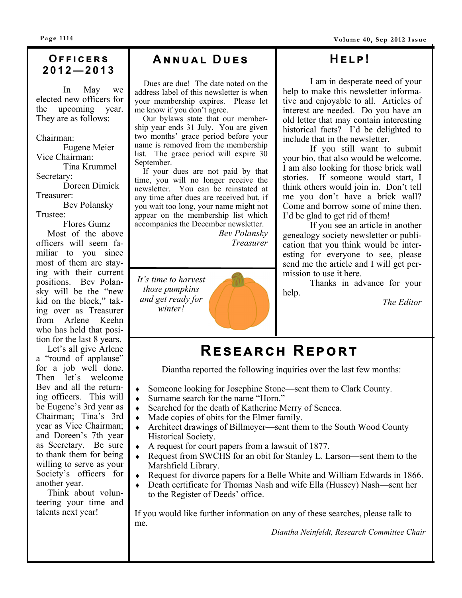**Page 1114** 

Volume 40, Sep 2012 Issue

# **2012—2013**

 In May we elected new officers for the upcoming year. They are as follows:

Chairman:

 Eugene Meier Vice Chairman: Tina Krummel Secretary:

 Doreen Dimick Treasurer:

 Bev Polansky Trustee:

 Flores Gumz Most of the above officers will seem familiar to you since most of them are staying with their current positions. Bev Polansky will be the "new kid on the block," taking over as Treasurer from Arlene Keehn who has held that position for the last 8 years.

 Let's all give Arlene a "round of applause" for a job well done. Then let's welcome Bev and all the returning officers. This will be Eugene's 3rd year as Chairman; Tina's 3rd year as Vice Chairman; and Doreen's 7th year as Secretary. Be sure to thank them for being willing to serve as your Society's officers for another year.

 Think about volunteering your time and talents next year!

### **OFFICERS | ANNUAL DUES**

 Dues are due! The date noted on the address label of this newsletter is when your membership expires. Please let me know if you don't agree.

 Our bylaws state that our membership year ends 31 July. You are given two months' grace period before your name is removed from the membership list. The grace period will expire  $30$ September.

If your dues are not paid by that time, you will no longer receive the newsletter. You can be reinstated at any time after dues are received but, if you wait too long, your name might not appear on the membership list which accompanies the December newsletter.

*Bev Polansky Treasurer* 

*It's time to harvest those pumpkins and get ready for winter!* 

### **Hඍඔ!**

 I am in desperate need of your help to make this newsletter informative and enjoyable to all. Articles of interest are needed. Do you have an old letter that may contain interesting historical facts? I'd be delighted to include that in the newsletter.

 If you still want to submit your bio, that also would be welcome. I am also looking for those brick wall stories. If someone would start, I think others would join in. Don't tell me you don't have a brick wall? Come and borrow some of mine then. I'd be glad to get rid of them!

 If you see an article in another genealogy society newsletter or publication that you think would be interesting for everyone to see, please send me the article and I will get permission to use it here.

 Thanks in advance for your help.

*The Editor* 

# $R$ **ESEARCH REPORT**

Diantha reported the following inquiries over the last few months:

- Someone looking for Josephine Stone—sent them to Clark County.
- Surname search for the name "Horn."
- Searched for the death of Katherine Merry of Seneca.
- Made copies of obits for the Elmer family.
- Architect drawings of Billmeyer—sent them to the South Wood County Historical Society.
- A request for court papers from a lawsuit of 1877.
- Request from SWCHS for an obit for Stanley L. Larson—sent them to the Marshfield Library.
- Request for divorce papers for a Belle White and William Edwards in 1866.
- Death certificate for Thomas Nash and wife Ella (Hussey) Nash—sent her to the Register of Deeds' office.

If you would like further information on any of these searches, please talk to me.

*Diantha Neinfeldt, Research Committee Chair*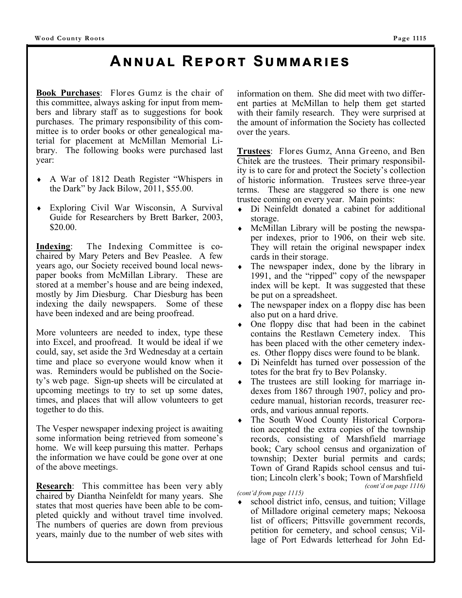# **ANNUAL REPORT SUMMARIES**

**Book Purchases**: Flores Gumz is the chair of this committee, always asking for input from members and library staff as to suggestions for book purchases. The primary responsibility of this committee is to order books or other genealogical material for placement at McMillan Memorial Library. The following books were purchased last year:

- A War of 1812 Death Register "Whispers in the Dark" by Jack Bilow, 2011, \$55.00.
- Exploring Civil War Wisconsin, A Survival Guide for Researchers by Brett Barker, 2003, \$20.00.

**Indexing**: The Indexing Committee is cochaired by Mary Peters and Bev Peaslee. A few years ago, our Society received bound local newspaper books from McMillan Library. These are stored at a member's house and are being indexed, mostly by Jim Diesburg. Char Diesburg has been indexing the daily newspapers. Some of these have been indexed and are being proofread.

More volunteers are needed to index, type these into Excel, and proofread. It would be ideal if we could, say, set aside the 3rd Wednesday at a certain time and place so everyone would know when it was. Reminders would be published on the Society's web page. Sign-up sheets will be circulated at upcoming meetings to try to set up some dates, times, and places that will allow volunteers to get together to do this.

The Vesper newspaper indexing project is awaiting some information being retrieved from someone's home. We will keep pursuing this matter. Perhaps the information we have could be gone over at one of the above meetings.

**Research**: This committee has been very ably chaired by Diantha Neinfeldt for many years. She states that most queries have been able to be completed quickly and without travel time involved. The numbers of queries are down from previous years, mainly due to the number of web sites with information on them. She did meet with two different parties at McMillan to help them get started with their family research. They were surprised at the amount of information the Society has collected over the years.

**Trustees**: Flores Gumz, Anna Greeno, and Ben Chitek are the trustees. Their primary responsibility is to care for and protect the Society's collection of historic information. Trustees serve three-year terms. These are staggered so there is one new trustee coming on every year. Main points:

- Di Neinfeldt donated a cabinet for additional storage.
- McMillan Library will be posting the newspaper indexes, prior to 1906, on their web site. They will retain the original newspaper index cards in their storage.
- The newspaper index, done by the library in 1991, and the "ripped" copy of the newspaper index will be kept. It was suggested that these be put on a spreadsheet.
- The newspaper index on a floppy disc has been also put on a hard drive.
- One floppy disc that had been in the cabinet contains the Restlawn Cemetery index. This has been placed with the other cemetery indexes. Other floppy discs were found to be blank.
- Di Neinfeldt has turned over possession of the totes for the brat fry to Bev Polansky.
- The trustees are still looking for marriage indexes from 1867 through 1907, policy and procedure manual, historian records, treasurer records, and various annual reports.
- The South Wood County Historical Corporation accepted the extra copies of the township records, consisting of Marshfield marriage book; Cary school census and organization of township; Dexter burial permits and cards; Town of Grand Rapids school census and tuition; Lincoln clerk's book; Town of Marshfield *(cont'd on page 1116)*

*(cont'd from page 1115)* 

 school district info, census, and tuition; Village of Milladore original cemetery maps; Nekoosa list of officers; Pittsville government records, petition for cemetery, and school census; Village of Port Edwards letterhead for John Ed-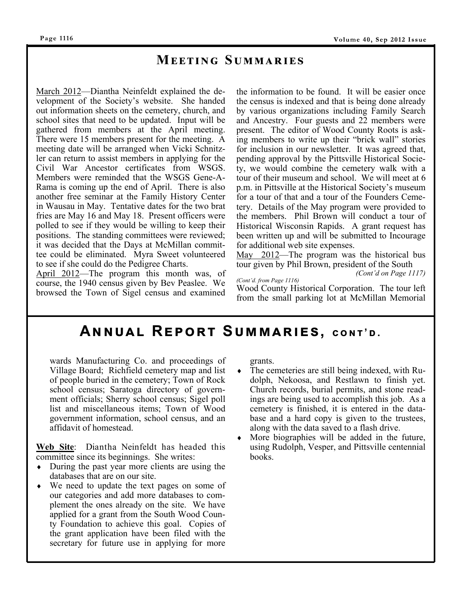### $M$ **EETING SUMMARIES**

March 2012—Diantha Neinfeldt explained the development of the Society's website. She handed out information sheets on the cemetery, church, and school sites that need to be updated. Input will be gathered from members at the April meeting. There were 15 members present for the meeting. A meeting date will be arranged when Vicki Schnitzler can return to assist members in applying for the Civil War Ancestor certificates from WSGS. Members were reminded that the WSGS Gene-A-Rama is coming up the end of April. There is also another free seminar at the Family History Center in Wausau in May. Tentative dates for the two brat fries are May 16 and May 18. Present officers were polled to see if they would be willing to keep their positions. The standing committees were reviewed; it was decided that the Days at McMillan committee could be eliminated. Myra Sweet volunteered to see if she could do the Pedigree Charts.

April 2012—The program this month was, of course, the 1940 census given by Bev Peaslee. We browsed the Town of Sigel census and examined

the information to be found. It will be easier once the census is indexed and that is being done already by various organizations including Family Search and Ancestry. Four guests and 22 members were present. The editor of Wood County Roots is asking members to write up their "brick wall" stories for inclusion in our newsletter. It was agreed that, pending approval by the Pittsville Historical Society, we would combine the cemetery walk with a tour of their museum and school. We will meet at 6 p.m. in Pittsville at the Historical Society's museum for a tour of that and a tour of the Founders Cemetery. Details of the May program were provided to the members. Phil Brown will conduct a tour of Historical Wisconsin Rapids. A grant request has been written up and will be submitted to Incourage for additional web site expenses.

May 2012—The program was the historical bus tour given by Phil Brown, president of the South

*(Cont'd on Page 1117)* 

*(Cont'd. from Page 1116)*  Wood County Historical Corporation. The tour left from the small parking lot at McMillan Memorial

## $A$ **NNUAL REPORT SUMMARIES, CONT'D.**

wards Manufacturing Co. and proceedings of Village Board; Richfield cemetery map and list of people buried in the cemetery; Town of Rock school census; Saratoga directory of government officials; Sherry school census; Sigel poll list and miscellaneous items; Town of Wood government information, school census, and an affidavit of homestead.

**Web Site**: Diantha Neinfeldt has headed this committee since its beginnings. She writes:

- During the past year more clients are using the databases that are on our site.
- We need to update the text pages on some of our categories and add more databases to complement the ones already on the site. We have applied for a grant from the South Wood County Foundation to achieve this goal. Copies of the grant application have been filed with the secretary for future use in applying for more

grants.

- The cemeteries are still being indexed, with Rudolph, Nekoosa, and Restlawn to finish yet. Church records, burial permits, and stone readings are being used to accomplish this job. As a cemetery is finished, it is entered in the database and a hard copy is given to the trustees, along with the data saved to a flash drive.
- More biographies will be added in the future, using Rudolph, Vesper, and Pittsville centennial books.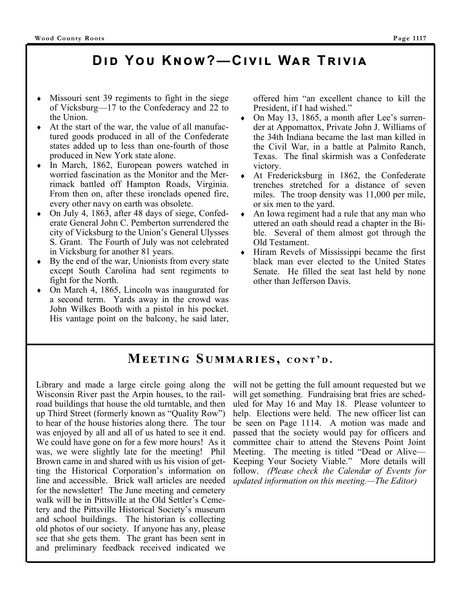# **Dඑ ඌ Y ඝ Kඖඟ?—Cඑඞඑඔ Wඉක Tකඑඞඑඉ**

- Missouri sent 39 regiments to fight in the siege of Vicksburg—17 to the Confederacy and 22 to the Union.
- At the start of the war, the value of all manufactured goods produced in all of the Confederate states added up to less than one-fourth of those produced in New York state alone.
- In March, 1862, European powers watched in worried fascination as the Monitor and the Merrimack battled off Hampton Roads, Virginia. From then on, after these ironclads opened fire, every other navy on earth was obsolete.
- On July 4, 1863, after 48 days of siege, Confederate General John C. Pemberton surrendered the city of Vicksburg to the Union's General Ulysses S. Grant. The Fourth of July was not celebrated in Vicksburg for another 81 years.
- By the end of the war, Unionists from every state except South Carolina had sent regiments to fight for the North.
- On March 4, 1865, Lincoln was inaugurated for a second term. Yards away in the crowd was John Wilkes Booth with a pistol in his pocket. His vantage point on the balcony, he said later,

offered him "an excellent chance to kill the President, if I had wished."

- On May 13, 1865, a month after Lee's surrender at Appomattox, Private John J. Williams of the 34th Indiana became the last man killed in the Civil War, in a battle at Palmito Ranch, Texas. The final skirmish was a Confederate victory.
- At Fredericksburg in 1862, the Confederate trenches stretched for a distance of seven miles. The troop density was 11,000 per mile, or six men to the yard.
- An Iowa regiment had a rule that any man who uttered an oath should read a chapter in the Bible. Several of them almost got through the Old Testament.
- Hiram Revels of Mississippi became the first black man ever elected to the United States Senate. He filled the seat last held by none other than Jefferson Davis.

### $M$ **EETING SUMMARIES, CONT'D.**

Library and made a large circle going along the Wisconsin River past the Arpin houses, to the railroad buildings that house the old turntable, and then up Third Street (formerly known as "Quality Row") to hear of the house histories along there. The tour was enjoyed by all and all of us hated to see it end. We could have gone on for a few more hours! As it was, we were slightly late for the meeting! Phil Brown came in and shared with us his vision of getting the Historical Corporation's information on line and accessible. Brick wall articles are needed for the newsletter! The June meeting and cemetery walk will be in Pittsville at the Old Settler's Cemetery and the Pittsville Historical Society's museum and school buildings. The historian is collecting old photos of our society. If anyone has any, please see that she gets them. The grant has been sent in and preliminary feedback received indicated we

will not be getting the full amount requested but we will get something. Fundraising brat fries are scheduled for May 16 and May 18. Please volunteer to help. Elections were held. The new officer list can be seen on Page 1114. A motion was made and passed that the society would pay for officers and committee chair to attend the Stevens Point Joint Meeting. The meeting is titled "Dead or Alive— Keeping Your Society Viable." More details will follow. *(Please check the Calendar of Events for updated information on this meeting.—The Editor)*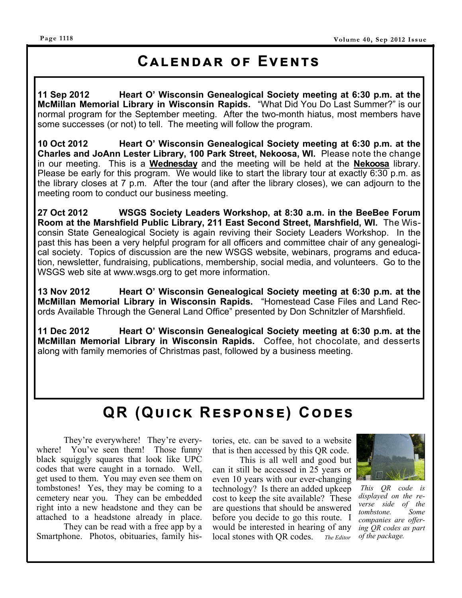#### **Page 1118**

# **CALENDAR OF EVENTS**

**11 Sep 2012 Heart O' Wisconsin Genealogical Society meeting at 6:30 p.m. at the McMillan Memorial Library in Wisconsin Rapids.** "What Did You Do Last Summer?" is our normal program for the September meeting. After the two-month hiatus, most members have some successes (or not) to tell. The meeting will follow the program.

**10 Oct 2012 Heart O' Wisconsin Genealogical Society meeting at 6:30 p.m. at the Charles and JoAnn Lester Library, 100 Park Street, Nekoosa, WI.** Please note the change in our meeting. This is a **Wednesday** and the meeting will be held at the **Nekoosa** library. Please be early for this program. We would like to start the library tour at exactly 6:30 p.m. as the library closes at 7 p.m. After the tour (and after the library closes), we can adjourn to the meeting room to conduct our business meeting.

**27 Oct 2012 WSGS Society Leaders Workshop, at 8:30 a.m. in the BeeBee Forum Room at the Marshfield Public Library, 211 East Second Street, Marshfield, WI.** The Wisconsin State Genealogical Society is again reviving their Society Leaders Workshop. In the past this has been a very helpful program for all officers and committee chair of any genealogical society. Topics of discussion are the new WSGS website, webinars, programs and education, newsletter, fundraising, publications, membership, social media, and volunteers. Go to the WSGS web site at www.wsgs.org to get more information.

**13 Nov 2012 Heart O' Wisconsin Genealogical Society meeting at 6:30 p.m. at the McMillan Memorial Library in Wisconsin Rapids.** "Homestead Case Files and Land Records Available Through the General Land Office" presented by Don Schnitzler of Marshfield.

**11 Dec 2012 Heart O' Wisconsin Genealogical Society meeting at 6:30 p.m. at the McMillan Memorial Library in Wisconsin Rapids.** Coffee, hot chocolate, and desserts along with family memories of Christmas past, followed by a business meeting.

# $QR$  (QUICK RESPONSE) CODES

 They're everywhere! They're everywhere! You've seen them! Those funny black squiggly squares that look like UPC codes that were caught in a tornado. Well, get used to them. You may even see them on tombstones! Yes, they may be coming to a cemetery near you. They can be embedded right into a new headstone and they can be attached to a headstone already in place.

 They can be read with a free app by a Smartphone. Photos, obituaries, family histories, etc. can be saved to a website that is then accessed by this QR code.

 This is all well and good but can it still be accessed in 25 years or even 10 years with our ever-changing technology? Is there an added upkeep cost to keep the site available? These are questions that should be answered before you decide to go this route. I would be interested in hearing of any local stones with QR codes. *The Editor* 



*This QR code is displayed on the reverse side of the tombstone. Some companies are offering QR codes as part of the package.*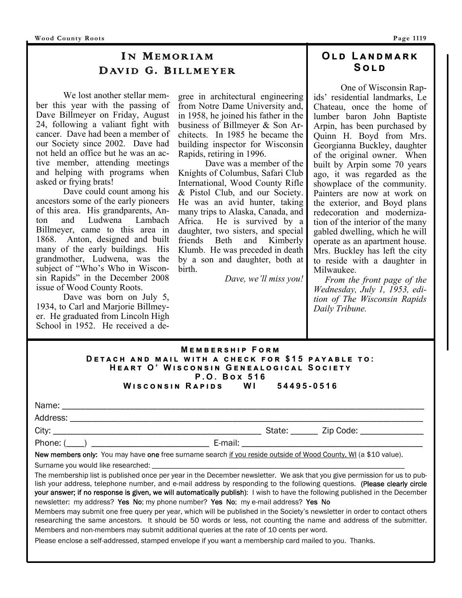### I N MEMORIAM DAVID G. BILLMEYER

 We lost another stellar member this year with the passing of Dave Billmeyer on Friday, August 24, following a valiant fight with cancer. Dave had been a member of our Society since 2002. Dave had not held an office but he was an active member, attending meetings and helping with programs when asked or frying brats!

 Dave could count among his ancestors some of the early pioneers of this area. His grandparents, Anton and Ludwena Lambach Billmeyer, came to this area in 1868. Anton, designed and built many of the early buildings. His grandmother, Ludwena, was the subject of "Who's Who in Wisconsin Rapids" in the December 2008 issue of Wood County Roots.

Dave was born on July 5, 1934, to Carl and Marjorie Billmeyer. He graduated from Lincoln High School in 1952. He received a degree in architectural engineering from Notre Dame University and, in 1958, he joined his father in the business of Billmeyer & Son Architects. In 1985 he became the building inspector for Wisconsin Rapids, retiring in 1996.

 Dave was a member of the Knights of Columbus, Safari Club International, Wood County Rifle & Pistol Club, and our Society. He was an avid hunter, taking many trips to Alaska, Canada, and Africa. He is survived by a daughter, two sisters, and special friends Beth and Kimberly Klumb. He was preceded in death by a son and daughter, both at birth.

*Dave, we'll miss you!* 

#### **OLD LANDMARK Sඔඌ**

 One of Wisconsin Rapids' residential landmarks, Le Chateau, once the home of lumber baron John Baptiste Arpin, has been purchased by Quinn H. Boyd from Mrs. Georgianna Buckley, daughter of the original owner. When built by Arpin some 70 years ago, it was regarded as the showplace of the community. Painters are now at work on the exterior, and Boyd plans redecoration and modernization of the interior of the many gabled dwelling, which he will operate as an apartment house. Mrs. Buckley has left the city to reside with a daughter in Milwaukee.

 *From the front page of the Wednesday, July 1, 1953, edition of The Wisconsin Rapids Daily Tribune.* 

#### $M$ **EMBERSHIP FORM DETACH AND MAIL WITH A CHECK FOR \$15 PAYABLE TO:**  $H$ **EART O' WISCONSIN GENEALOGICAL SOCIETY P.O. Box 516**<br>APIDS WI **W එඛඋඖඛඑඖ R ඉඑඌඛ WI 54495-0516**

| Phone: $(\_\_)$                                                                                                 |  |
|-----------------------------------------------------------------------------------------------------------------|--|
| New members only: You may have one free surname search if you reside outside of Wood County, WI (a \$10 value). |  |

Surname you would like researched:

The membership list is published once per year in the December newsletter. We ask that you give permission for us to publish your address, telephone number, and e-mail address by responding to the following questions. (Please clearly circle your answer; if no response is given, we will automatically publish): I wish to have the following published in the December newsletter: my address? Yes No; my phone number? Yes No; my e-mail address? Yes No

Members may submit one free query per year, which will be published in the Society's newsletter in order to contact others researching the same ancestors. It should be 50 words or less, not counting the name and address of the submitter. Members and non-members may submit additional queries at the rate of 10 cents per word.

Please enclose a self-addressed, stamped envelope if you want a membership card mailed to you. Thanks.